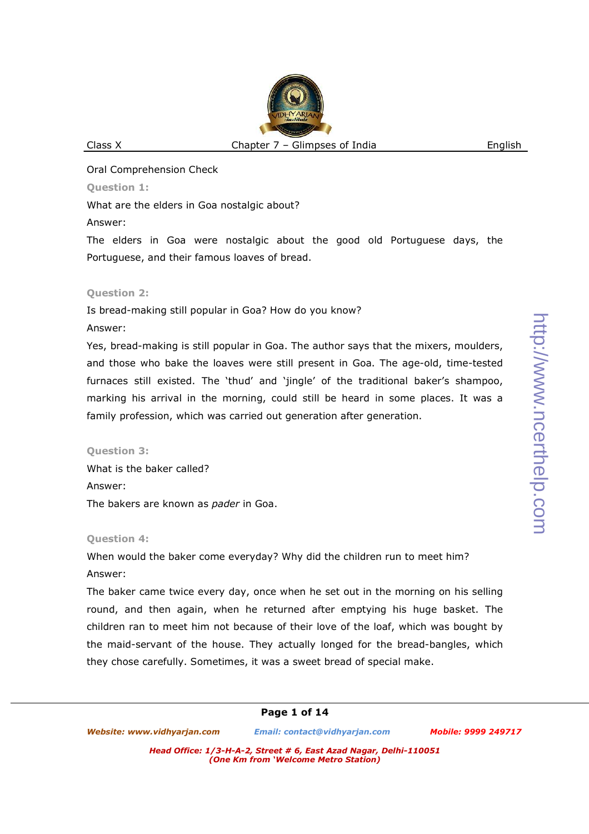Oral Comprehension Check

**Question 1:** 

What are the elders in Goa nostalgic about?

Answer:

The elders in Goa were nostalgic about the good old Portuguese days, the Portuguese, and their famous loaves of bread.

### **Question 2:**

Is bread-making still popular in Goa? How do you know?

### Answer:

Yes, bread-making is still popular in Goa. The author says that the mixers, moulders, and those who bake the loaves were still present in Goa. The age-old, time-tested furnaces still existed. The 'thud' and 'jingle' of the traditional baker's shampoo, marking his arrival in the morning, could still be heard in some places. It was a family profession, which was carried out generation after generation.

### **Question 3:**

What is the baker called? Answer: The bakers are known as *pader* in Goa.

### **Question 4:**

When would the baker come everyday? Why did the children run to meet him? Answer:

The baker came twice every day, once when he set out in the morning on his selling round, and then again, when he returned after emptying his huge basket. The children ran to meet him not because of their love of the loaf, which was bought by the maid-servant of the house. They actually longed for the bread-bangles, which they chose carefully. Sometimes, it was a sweet bread of special make.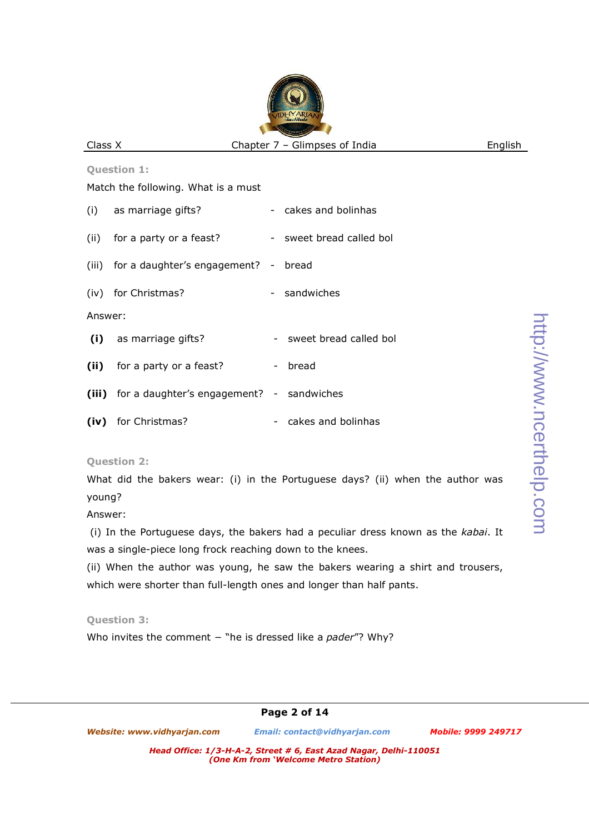**Question 1:**  Match the following. What is a must (i) as marriage gifts? - cakes and bolinhas (ii) for a party or a feast? - sweet bread called bol (iii) for a daughter's engagement? - bread (iv) for Christmas? - sandwiches Answer: (i) as marriage gifts? - sweet bread called bol **(ii)** for a party or a feast? - bread **(iii)** for a daughter's engagement? - sandwiches **(iv)** for Christmas? - cakes and bolinhas

**Question 2:** 

What did the bakers wear: (i) in the Portuguese days? (ii) when the author was young?

Answer:

 (i) In the Portuguese days, the bakers had a peculiar dress known as the *kabai*. It was a single-piece long frock reaching down to the knees.

(ii) When the author was young, he saw the bakers wearing a shirt and trousers, which were shorter than full-length ones and longer than half pants.

**Question 3:** 

Who invites the comment − "he is dressed like a *pader*"? Why?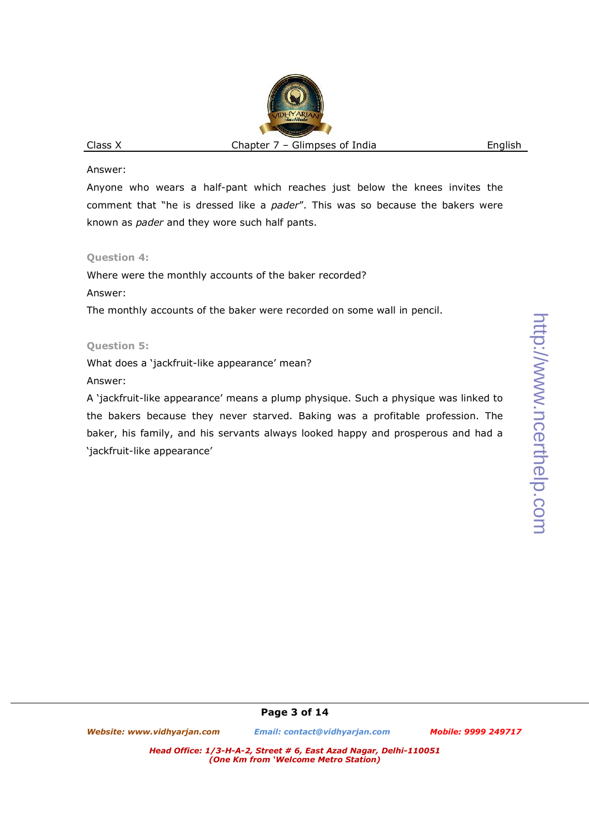#### Answer:

Anyone who wears a half-pant which reaches just below the knees invites the comment that "he is dressed like a *pader*". This was so because the bakers were known as *pader* and they wore such half pants.

### **Question 4:**

Where were the monthly accounts of the baker recorded?

Answer:

The monthly accounts of the baker were recorded on some wall in pencil.

# **Question 5:**

What does a 'jackfruit-like appearance' mean?

Answer:

A 'jackfruit-like appearance' means a plump physique. Such a physique was linked to the bakers because they never starved. Baking was a profitable profession. The baker, his family, and his servants always looked happy and prosperous and had a 'jackfruit-like appearance'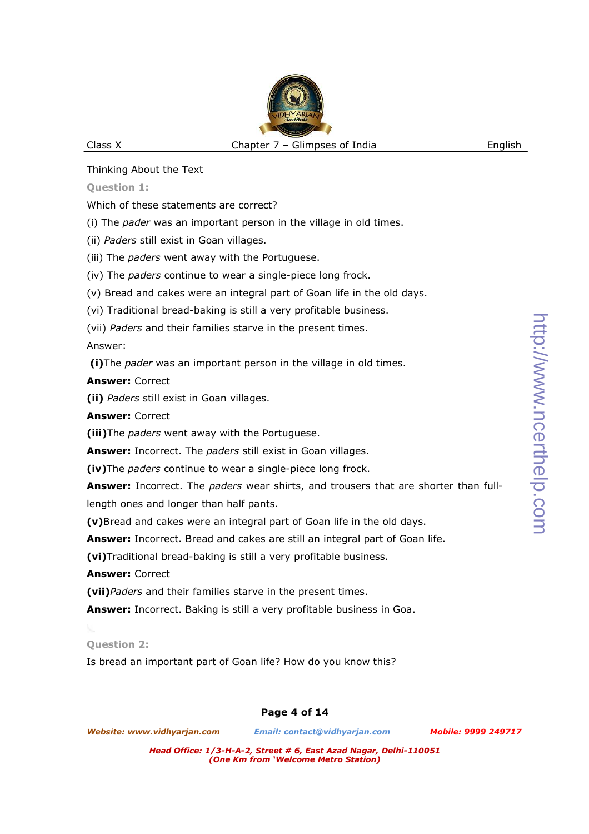Thinking About the Text

## **Question 1:**

Which of these statements are correct?

(i) The *pader* was an important person in the village in old times.

(ii) *Paders* still exist in Goan villages.

(iii) The *paders* went away with the Portuguese.

(iv) The *paders* continue to wear a single-piece long frock.

(v) Bread and cakes were an integral part of Goan life in the old days.

(vi) Traditional bread-baking is still a very profitable business.

(vii) *Paders* and their families starve in the present times.

Answer:

 **(i)**The *pader* was an important person in the village in old times.

# **Answer:** Correct

**(ii)** *Paders* still exist in Goan villages.

**Answer:** Correct

**(iii)**The *paders* went away with the Portuguese.

**Answer:** Incorrect. The *paders* still exist in Goan villages.

**(iv)**The *paders* continue to wear a single-piece long frock.

**Answer:** Incorrect. The *paders* wear shirts, and trousers that are shorter than fulllength ones and longer than half pants.

**(v)**Bread and cakes were an integral part of Goan life in the old days.

**Answer:** Incorrect. Bread and cakes are still an integral part of Goan life.

**(vi)**Traditional bread-baking is still a very profitable business.

**Answer:** Correct

**(vii)***Paders* and their families starve in the present times.

**Answer:** Incorrect. Baking is still a very profitable business in Goa.

# **Question 2:**

Is bread an important part of Goan life? How do you know this?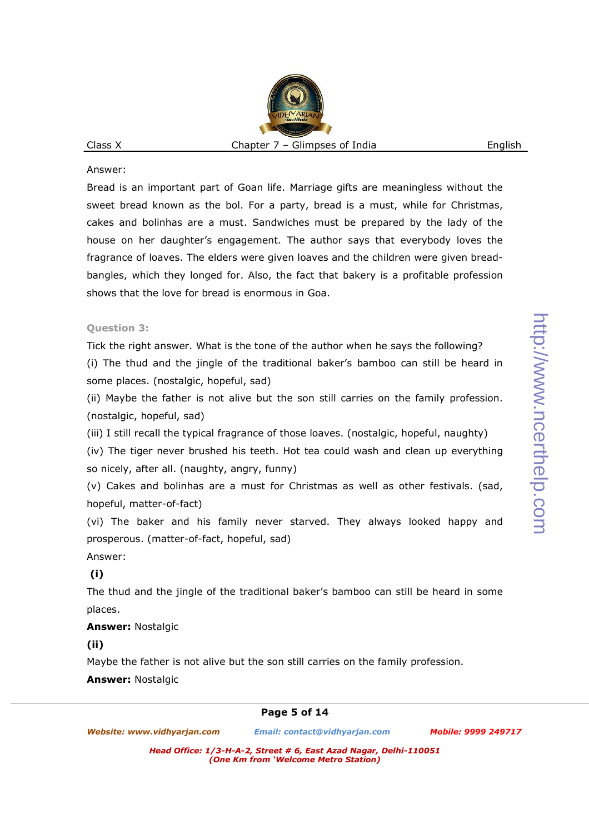#### Answer:

Bread is an important part of Goan life. Marriage gifts are meaningless without the sweet bread known as the bol. For a party, bread is a must, while for Christmas, cakes and bolinhas are a must. Sandwiches must be prepared by the lady of the house on her daughter's engagement. The author says that everybody loves the fragrance of loaves. The elders were given loaves and the children were given breadbangles, which they longed for. Also, the fact that bakery is a profitable profession shows that the love for bread is enormous in Goa.

### **Question 3:**

Tick the right answer. What is the tone of the author when he says the following?

(i) The thud and the jingle of the traditional baker's bamboo can still be heard in some places. (nostalgic, hopeful, sad)

(ii) Maybe the father is not alive but the son still carries on the family profession. (nostalgic, hopeful, sad)

(iii) I still recall the typical fragrance of those loaves. (nostalgic, hopeful, naughty)

(iv) The tiger never brushed his teeth. Hot tea could wash and clean up everything so nicely, after all. (naughty, angry, funny)

(v) Cakes and bolinhas are a must for Christmas as well as other festivals. (sad, hopeful, matter-of-fact)

(vi) The baker and his family never starved. They always looked happy and prosperous. (matter-of-fact, hopeful, sad)

Answer:

## **(i)**

The thud and the jingle of the traditional baker's bamboo can still be heard in some places.

**Answer:** Nostalgic

**(ii)**

Maybe the father is not alive but the son still carries on the family profession.

**Answer:** Nostalgic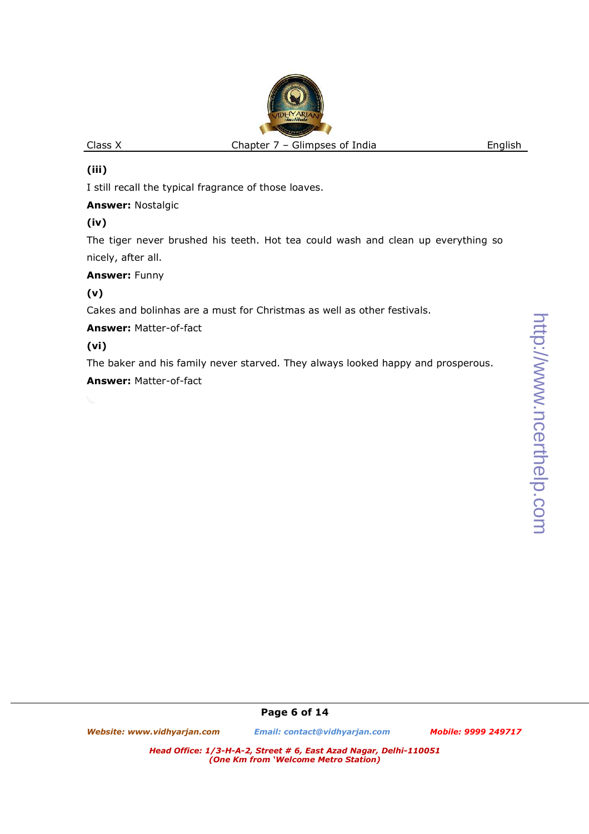# **(iii)**

I still recall the typical fragrance of those loaves.

**Answer:** Nostalgic

# **(iv)**

The tiger never brushed his teeth. Hot tea could wash and clean up everything so nicely, after all.

## **Answer:** Funny

**(v)**

Cakes and bolinhas are a must for Christmas as well as other festivals.

**Answer:** Matter-of-fact

# **(vi)**

The baker and his family never starved. They always looked happy and prosperous. **Answer:** Matter-of-fact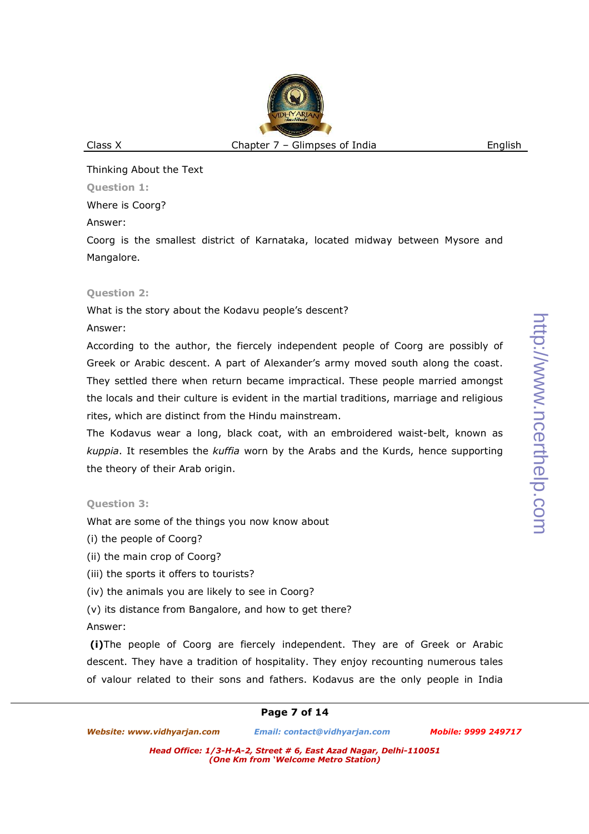Thinking About the Text

**Question 1:** 

Where is Coorg?

Answer:

Coorg is the smallest district of Karnataka, located midway between Mysore and Mangalore.

### **Question 2:**

What is the story about the Kodavu people's descent?

Answer:

According to the author, the fiercely independent people of Coorg are possibly of Greek or Arabic descent. A part of Alexander's army moved south along the coast. They settled there when return became impractical. These people married amongst the locals and their culture is evident in the martial traditions, marriage and religious rites, which are distinct from the Hindu mainstream.

The Kodavus wear a long, black coat, with an embroidered waist-belt, known as *kuppia*. It resembles the *kuffia* worn by the Arabs and the Kurds, hence supporting the theory of their Arab origin.

### **Question 3:**

What are some of the things you now know about

- (i) the people of Coorg?
- (ii) the main crop of Coorg?
- (iii) the sports it offers to tourists?
- (iv) the animals you are likely to see in Coorg?
- (v) its distance from Bangalore, and how to get there?

### Answer:

 **(i)**The people of Coorg are fiercely independent. They are of Greek or Arabic descent. They have a tradition of hospitality. They enjoy recounting numerous tales of valour related to their sons and fathers. Kodavus are the only people in India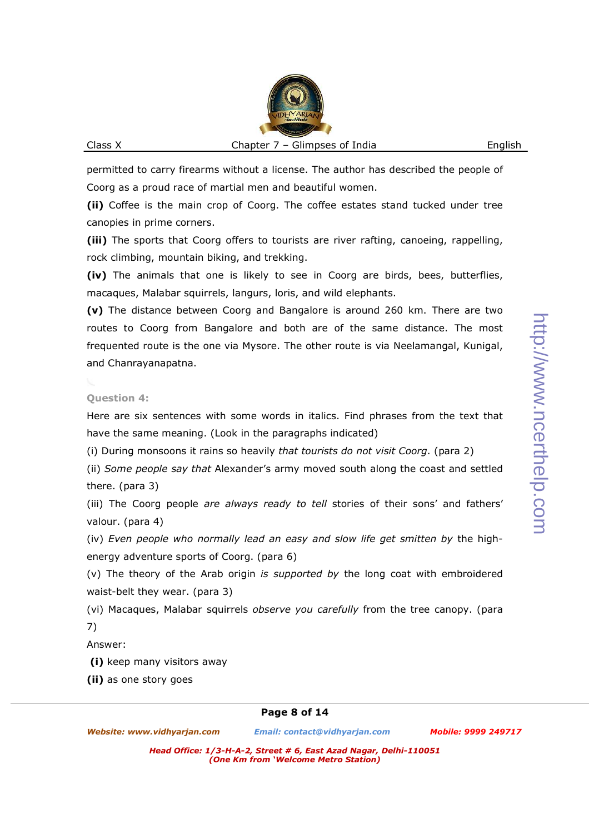permitted to carry firearms without a license. The author has described the people of Coorg as a proud race of martial men and beautiful women.

**(ii)** Coffee is the main crop of Coorg. The coffee estates stand tucked under tree canopies in prime corners.

**(iii)** The sports that Coorg offers to tourists are river rafting, canoeing, rappelling, rock climbing, mountain biking, and trekking.

**(iv)** The animals that one is likely to see in Coorg are birds, bees, butterflies, macaques, Malabar squirrels, langurs, loris, and wild elephants.

**(v)** The distance between Coorg and Bangalore is around 260 km. There are two routes to Coorg from Bangalore and both are of the same distance. The most frequented route is the one via Mysore. The other route is via Neelamangal, Kunigal, and Chanrayanapatna.

### **Question 4:**

Here are six sentences with some words in italics. Find phrases from the text that have the same meaning. (Look in the paragraphs indicated)

(i) During monsoons it rains so heavily *that tourists do not visit Coorg*. (para 2)

(ii) *Some people say that* Alexander's army moved south along the coast and settled there. (para 3)

(iii) The Coorg people *are always ready to tell* stories of their sons' and fathers' valour. (para 4)

(iv) *Even people who normally lead an easy and slow life get smitten by* the highenergy adventure sports of Coorg. (para 6)

(v) The theory of the Arab origin *is supported by* the long coat with embroidered waist-belt they wear. (para 3)

(vi) Macaques, Malabar squirrels *observe you carefully* from the tree canopy. (para 7)

### Answer:

 **(i)** keep many visitors away

**(ii)** as one story goes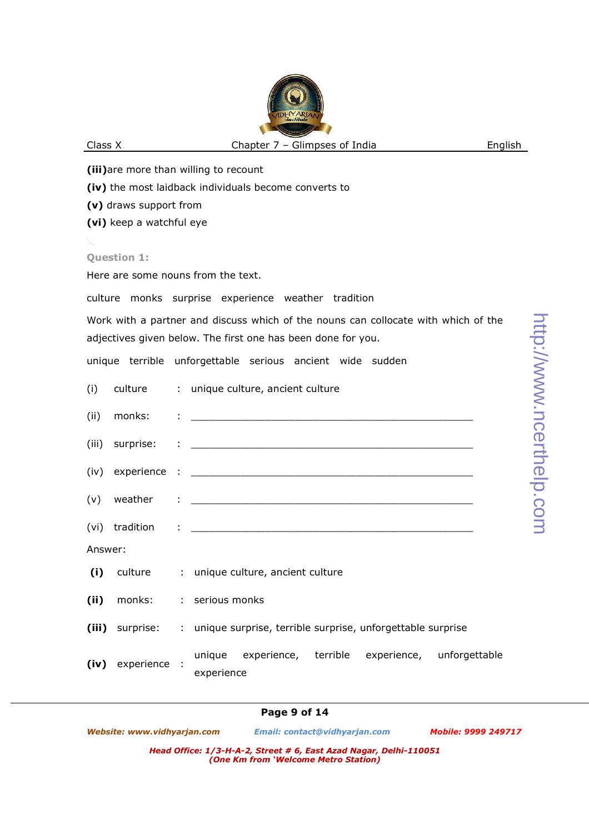**(iii)**are more than willing to recount **(iv)** the most laidback individuals become converts to **(v)** draws support from **(vi)** keep a watchful eye

#### **Question 1:**

Here are some nouns from the text.

culture monks surprise experience weather tradition

Work with a partner and discuss which of the nouns can collocate with which of the adjectives given below. The first one has been done for you.

unique terrible unforgettable serious ancient wide sudden

|         |                   | (i) culture : unique culture, ancient culture                                |
|---------|-------------------|------------------------------------------------------------------------------|
|         |                   |                                                                              |
|         |                   |                                                                              |
|         |                   |                                                                              |
|         |                   |                                                                              |
|         |                   |                                                                              |
| Answer: |                   |                                                                              |
|         |                   | (i) culture : unique culture, ancient culture                                |
|         |                   | (ii) monks: : serious monks                                                  |
|         |                   | (iii) surprise: : unique surprise, terrible surprise, unforgettable surprise |
|         | (iv) experience : | unique experience, terrible experience, unforgettable<br>experience          |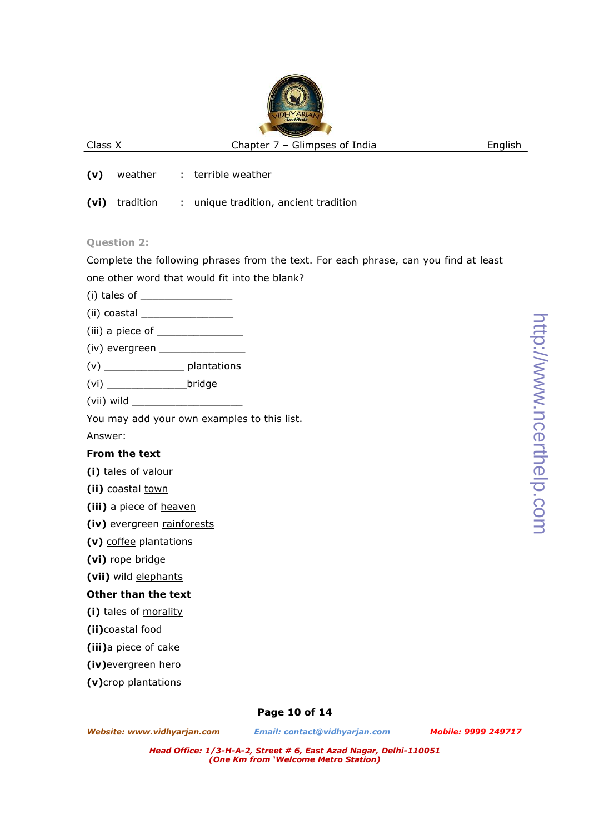- **(v)** weather : terrible weather
- **(vi)** tradition : unique tradition, ancient tradition

### **Question 2:**

Complete the following phrases from the text. For each phrase, can you find at least one other word that would fit into the blank?

- (i) tales of  $\_$
- $(i)$  coastal  $\qquad \qquad \qquad$
- $(iii)$  a piece of  $\qquad \qquad$
- $(iv)$  evergreen  $\_$
- (v) \_\_\_\_\_\_\_\_\_\_\_\_\_ plantations
- (vi) \_\_\_\_\_\_\_\_\_\_\_\_\_bridge
- (vii) wild \_\_\_\_\_\_\_\_\_\_\_\_\_\_\_\_\_\_

You may add your own examples to this list.

Answer:

## **From the text**

**(i)** tales of valour

(ii) coastal town

**(iii)** a piece of heaven

- **(iv)** evergreen rainforests
- **(v)** coffee plantations
- **(vi)** rope bridge

**(vii)** wild elephants

## **Other than the text**

**(i)** tales of morality

**(ii)**coastal food

**(iii)**a piece of cake

**(iv)**evergreen hero

**(v)**crop plantations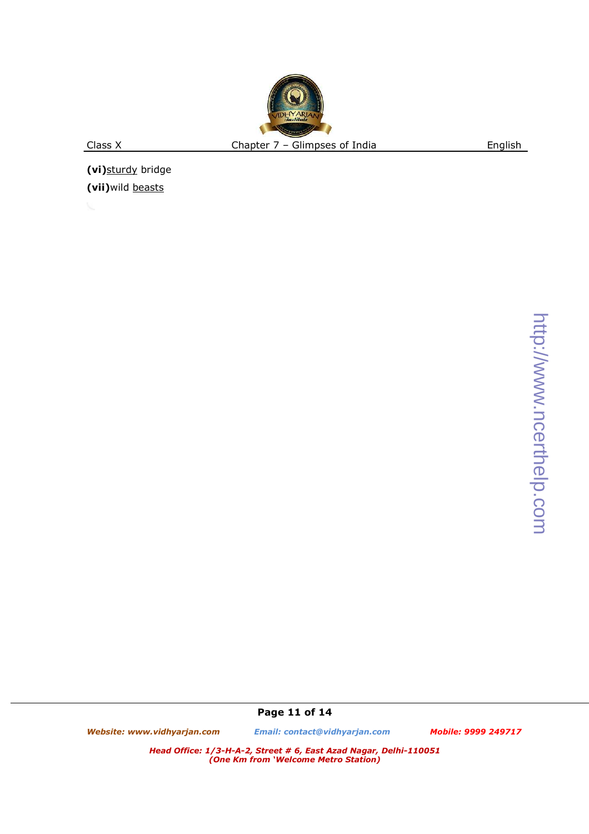**(vi)**sturdy bridge **(vii)**wild beasts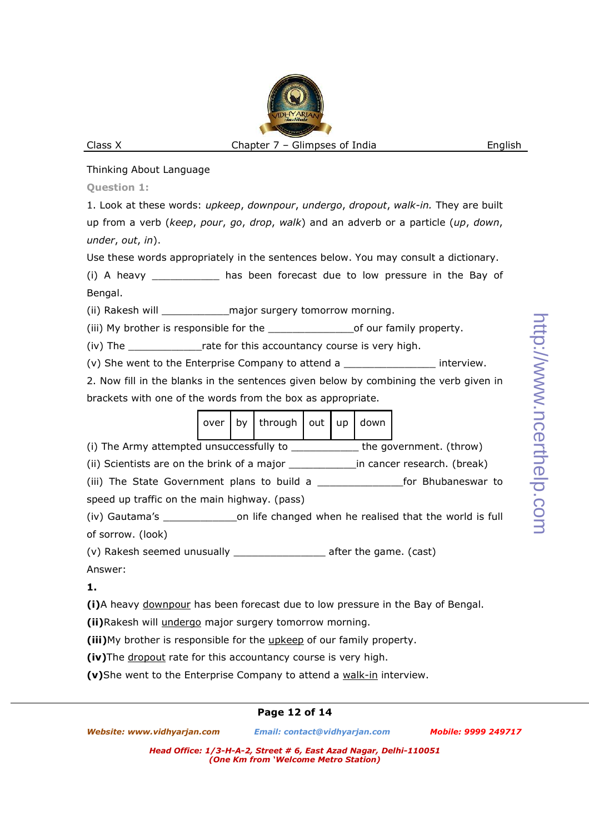### Thinking About Language

**Question 1:** 

1. Look at these words: *upkeep*, *downpour*, *undergo*, *dropout*, *walk-in.* They are built up from a verb (*keep*, *pour*, *go*, *drop*, *walk*) and an adverb or a particle (*up*, *down*, *under*, *out*, *in*).

Use these words appropriately in the sentences below. You may consult a dictionary.

(i) A heavy \_\_\_\_\_\_\_\_\_\_\_ has been forecast due to low pressure in the Bay of Bengal.

(ii) Rakesh will example major surgery tomorrow morning.

(iii) My brother is responsible for the \_\_\_\_\_\_\_\_\_\_\_\_\_\_\_\_\_\_\_of our family property.

(iv) The \_\_\_\_\_\_\_\_\_\_\_\_rate for this accountancy course is very high.

(v) She went to the Enterprise Company to attend a **Example 2** interview.

2. Now fill in the blanks in the sentences given below by combining the verb given in brackets with one of the words from the box as appropriate.

| $\vert$ over $\vert$ by $\vert$ through $\vert$ out $\vert$ up $\vert$ down $\vert$ |  |  |  |
|-------------------------------------------------------------------------------------|--|--|--|
|-------------------------------------------------------------------------------------|--|--|--|

(i) The Army attempted unsuccessfully to \_\_\_\_\_\_\_\_\_\_\_ the government. (throw)

(ii) Scientists are on the brink of a major \_\_\_\_\_\_\_\_\_\_\_\_\_\_\_\_\_in cancer research. (break)

(iii) The State Government plans to build a \_\_\_\_\_\_\_\_\_\_\_\_\_\_for Bhubaneswar to speed up traffic on the main highway. (pass)

(iv) Gautama's \_\_\_\_\_\_\_\_\_\_\_\_on life changed when he realised that the world is full of sorrow. (look)

(v) Rakesh seemed unusually \_\_\_\_\_\_\_\_\_\_\_\_\_\_\_ after the game. (cast)

Answer:

**1.**

**(i)**A heavy downpour has been forecast due to low pressure in the Bay of Bengal.

**(ii)**Rakesh will undergo major surgery tomorrow morning.

**(iii)**My brother is responsible for the upkeep of our family property.

**(iv)**The dropout rate for this accountancy course is very high.

**(v)**She went to the Enterprise Company to attend a walk-in interview.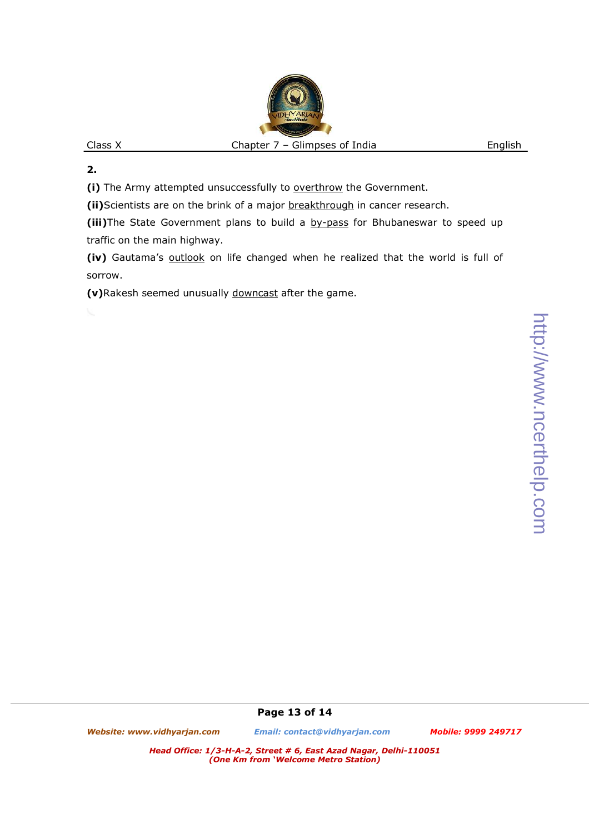**2.**

(i) The Army attempted unsuccessfully to overthrow the Government.

**(ii)**Scientists are on the brink of a major breakthrough in cancer research.

**(iii)**The State Government plans to build a by-pass for Bhubaneswar to speed up traffic on the main highway.

**(iv)** Gautama's outlook on life changed when he realized that the world is full of sorrow.

**(v)**Rakesh seemed unusually downcast after the game.